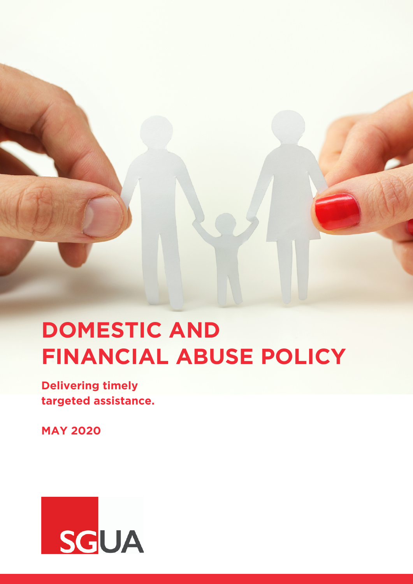

# **DOMESTIC AND FINANCIAL ABUSE POLICY**

**Delivering timely targeted assistance.**

**MAY 2020**

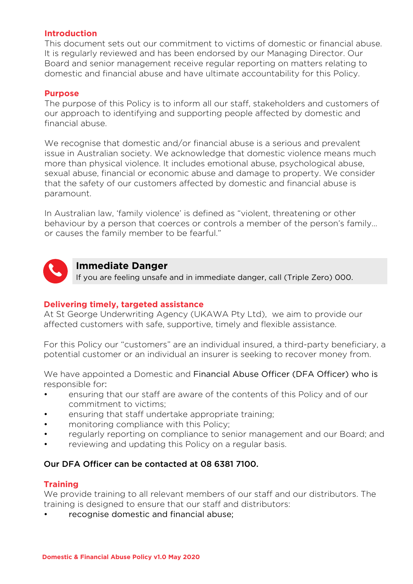# **Introduction**

This document sets out our commitment to victims of domestic or financial abuse. It is regularly reviewed and has been endorsed by our Managing Director. Our Board and senior management receive regular reporting on matters relating to domestic and financial abuse and have ultimate accountability for this Policy.

# **Purpose**

The purpose of this Policy is to inform all our staff, stakeholders and customers of our approach to identifying and supporting people affected by domestic and financial abuse.

We recognise that domestic and/or financial abuse is a serious and prevalent issue in Australian society. We acknowledge that domestic violence means much more than physical violence. It includes emotional abuse, psychological abuse, sexual abuse, financial or economic abuse and damage to property. We consider that the safety of our customers affected by domestic and financial abuse is paramount.

In Australian law, 'family violence' is defined as "violent, threatening or other behaviour by a person that coerces or controls a member of the person's family… or causes the family member to be fearful."



# **Immediate Danger**

If you are feeling unsafe and in immediate danger, call (Triple Zero) 000.

## **Delivering timely, targeted assistance**

At St George Underwriting Agency (UKAWA Pty Ltd), we aim to provide our affected customers with safe, supportive, timely and flexible assistance.

For this Policy our "customers" are an individual insured, a third-party beneficiary, a potential customer or an individual an insurer is seeking to recover money from.

We have appointed a Domestic and Financial Abuse Officer (DFA Officer) who is responsible for:

- ensuring that our staff are aware of the contents of this Policy and of our commitment to victims;
- ensuring that staff undertake appropriate training;
- monitoring compliance with this Policy;
- regularly reporting on compliance to senior management and our Board; and
- reviewing and updating this Policy on a regular basis.

# Our DFA Officer can be contacted at 08 6381 7100.

# **Training**

We provide training to all relevant members of our staff and our distributors. The training is designed to ensure that our staff and distributors:

• recognise domestic and financial abuse;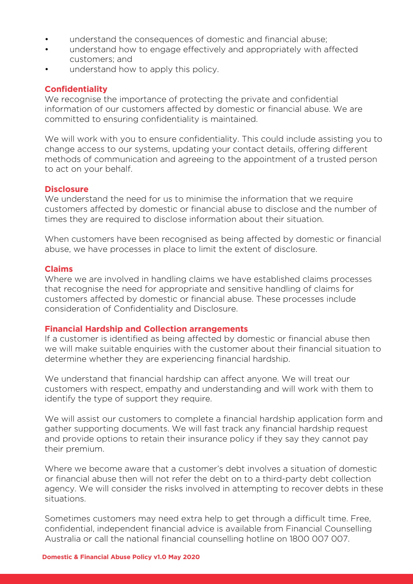- understand the consequences of domestic and financial abuse;
- understand how to engage effectively and appropriately with affected customers; and
- understand how to apply this policy.

## **Confidentiality**

We recognise the importance of protecting the private and confidential information of our customers affected by domestic or financial abuse. We are committed to ensuring confidentiality is maintained.

We will work with you to ensure confidentiality. This could include assisting you to change access to our systems, updating your contact details, offering different methods of communication and agreeing to the appointment of a trusted person to act on your behalf.

#### Disclosure

We understand the need for us to minimise the information that we require customers affected by domestic or financial abuse to disclose and the number of times they are required to disclose information about their situation.

When customers have been recognised as being affected by domestic or financial abuse, we have processes in place to limit the extent of disclosure.

## **Claims**

Where we are involved in handling claims we have established claims processes that recognise the need for appropriate and sensitive handling of claims for customers affected by domestic or financial abuse. These processes include consideration of Confidentiality and Disclosure.

#### **Financial Hardship and Collection arrangements**

If a customer is identified as being affected by domestic or financial abuse then we will make suitable enquiries with the customer about their financial situation to determine whether they are experiencing financial hardship.

We understand that financial hardship can affect anyone. We will treat our customers with respect, empathy and understanding and will work with them to identify the type of support they require.

We will assist our customers to complete a financial hardship application form and gather supporting documents. We will fast track any financial hardship request and provide options to retain their insurance policy if they say they cannot pay their premium.

Where we become aware that a customer's debt involves a situation of domestic or financial abuse then will not refer the debt on to a third-party debt collection agency. We will consider the risks involved in attempting to recover debts in these situations.

Sometimes customers may need extra help to get through a difficult time. Free, confidential, independent financial advice is available from Financial Counselling Australia or call the national financial counselling hotline on 1800 007 007.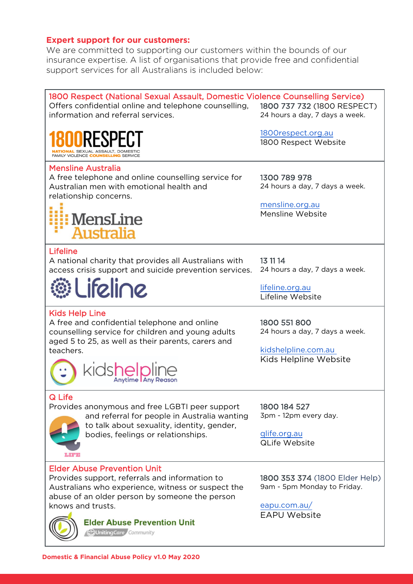## **Expert support for our customers:**

We are committed to supporting our customers within the bounds of our insurance expertise. A list of organisations that provide free and confidential support services for all Australians is included below: